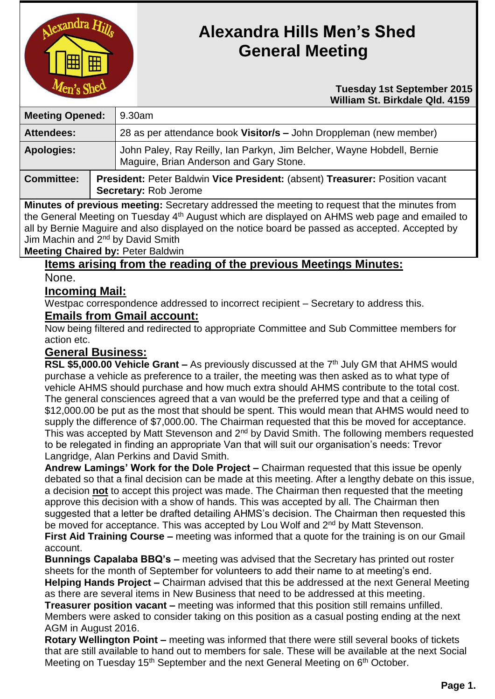

# **Alexandra Hills Men's Shed General Meeting**

#### **Tuesday 1st September 2015 William St. Birkdale Qld. 4159**

| <b>Meeting Opened:</b>                                                                       |  | 9.30am                                                                                                            |  |
|----------------------------------------------------------------------------------------------|--|-------------------------------------------------------------------------------------------------------------------|--|
| <b>Attendees:</b>                                                                            |  | 28 as per attendance book Visitor/s - John Droppleman (new member)                                                |  |
| <b>Apologies:</b>                                                                            |  | John Paley, Ray Reilly, Ian Parkyn, Jim Belcher, Wayne Hobdell, Bernie<br>Maguire, Brian Anderson and Gary Stone. |  |
| <b>Committee:</b>                                                                            |  | President: Peter Baldwin Vice President: (absent) Treasurer: Position vacant<br>Secretary: Rob Jerome             |  |
| Minutes of provisus meeting: Coordany oddrooped the meeting to request that the minutes from |  |                                                                                                                   |  |

**Minutes of previous meeting:** Secretary addressed the meeting to request that the minutes from the General Meeting on Tuesday 4th August which are displayed on AHMS web page and emailed to all by Bernie Maguire and also displayed on the notice board be passed as accepted. Accepted by Jim Machin and 2<sup>nd</sup> by David Smith

## **Meeting Chaired by:** Peter Baldwin

**Items arising from the reading of the previous Meetings Minutes:**

None.

## **Incoming Mail:**

Westpac correspondence addressed to incorrect recipient – Secretary to address this.

#### **Emails from Gmail account:**

Now being filtered and redirected to appropriate Committee and Sub Committee members for action etc.

## **General Business:**

RSL \$5,000.00 Vehicle Grant – As previously discussed at the 7<sup>th</sup> July GM that AHMS would purchase a vehicle as preference to a trailer, the meeting was then asked as to what type of vehicle AHMS should purchase and how much extra should AHMS contribute to the total cost. The general consciences agreed that a van would be the preferred type and that a ceiling of \$12,000.00 be put as the most that should be spent. This would mean that AHMS would need to supply the difference of \$7,000.00. The Chairman requested that this be moved for acceptance. This was accepted by Matt Stevenson and 2<sup>nd</sup> by David Smith. The following members requested to be relegated in finding an appropriate Van that will suit our organisation's needs: Trevor Langridge, Alan Perkins and David Smith.

**Andrew Lamings' Work for the Dole Project –** Chairman requested that this issue be openly debated so that a final decision can be made at this meeting. After a lengthy debate on this issue, a decision **not** to accept this project was made. The Chairman then requested that the meeting approve this decision with a show of hands. This was accepted by all. The Chairman then suggested that a letter be drafted detailing AHMS's decision. The Chairman then requested this be moved for acceptance. This was accepted by Lou Wolf and 2<sup>nd</sup> by Matt Stevenson.

**First Aid Training Course –** meeting was informed that a quote for the training is on our Gmail account.

**Bunnings Capalaba BBQ's –** meeting was advised that the Secretary has printed out roster sheets for the month of September for volunteers to add their name to at meeting's end. **Helping Hands Project –** Chairman advised that this be addressed at the next General Meeting

as there are several items in New Business that need to be addressed at this meeting. **Treasurer position vacant –** meeting was informed that this position still remains unfilled. Members were asked to consider taking on this position as a casual posting ending at the next AGM in August 2016.

**Rotary Wellington Point –** meeting was informed that there were still several books of tickets that are still available to hand out to members for sale. These will be available at the next Social Meeting on Tuesday 15<sup>th</sup> September and the next General Meeting on 6<sup>th</sup> October.